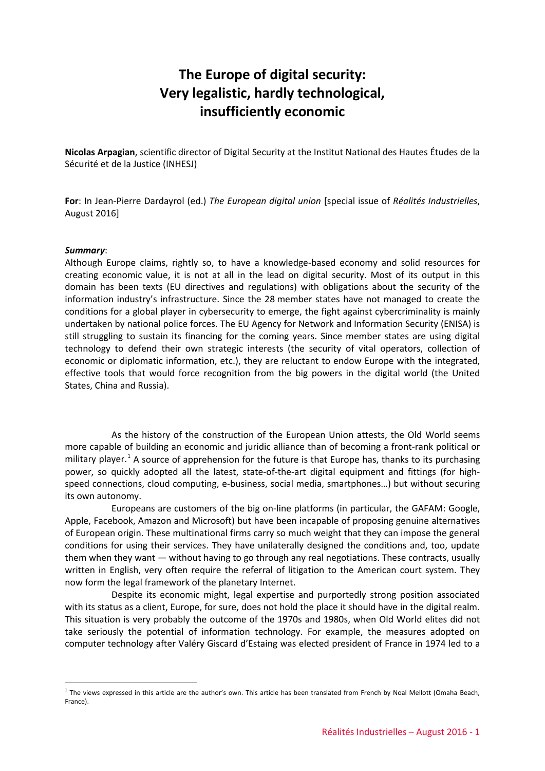# **The Europe of digital security: Very legalistic, hardly technological, insufficiently economic**

**Nicolas Arpagian**, scientific director of Digital Security at the Institut National des Hautes Études de la Sécurité et de la Justice (INHESJ)

**For**: In Jean-Pierre Dardayrol (ed.) *The European digital union* [special issue of *Réalités Industrielles*, August 2016]

#### *Summary*:

<u>.</u>

Although Europe claims, rightly so, to have a knowledge-based economy and solid resources for creating economic value, it is not at all in the lead on digital security. Most of its output in this domain has been texts (EU directives and regulations) with obligations about the security of the information industry's infrastructure. Since the 28 member states have not managed to create the conditions for a global player in cybersecurity to emerge, the fight against cybercriminality is mainly undertaken by national police forces. The EU Agency for Network and Information Security (ENISA) is still struggling to sustain its financing for the coming years. Since member states are using digital technology to defend their own strategic interests (the security of vital operators, collection of economic or diplomatic information, etc.), they are reluctant to endow Europe with the integrated, effective tools that would force recognition from the big powers in the digital world (the United States, China and Russia).

As the history of the construction of the European Union attests, the Old World seems more capable of building an economic and juridic alliance than of becoming a front-rank political or military player.<sup>[1](#page-0-0)</sup> A source of apprehension for the future is that Europe has, thanks to its purchasing power, so quickly adopted all the latest, state-of-the-art digital equipment and fittings (for highspeed connections, cloud computing, e-business, social media, smartphones…) but without securing its own autonomy.

Europeans are customers of the big on-line platforms (in particular, the GAFAM: Google, Apple, Facebook, Amazon and Microsoft) but have been incapable of proposing genuine alternatives of European origin. These multinational firms carry so much weight that they can impose the general conditions for using their services. They have unilaterally designed the conditions and, too, update them when they want — without having to go through any real negotiations. These contracts, usually written in English, very often require the referral of litigation to the American court system. They now form the legal framework of the planetary Internet.

Despite its economic might, legal expertise and purportedly strong position associated with its status as a client, Europe, for sure, does not hold the place it should have in the digital realm. This situation is very probably the outcome of the 1970s and 1980s, when Old World elites did not take seriously the potential of information technology. For example, the measures adopted on computer technology after Valéry Giscard d'Estaing was elected president of France in 1974 led to a

<span id="page-0-0"></span> $1$  The views expressed in this article are the author's own. This article has been translated from French by Noal Mellott (Omaha Beach, France).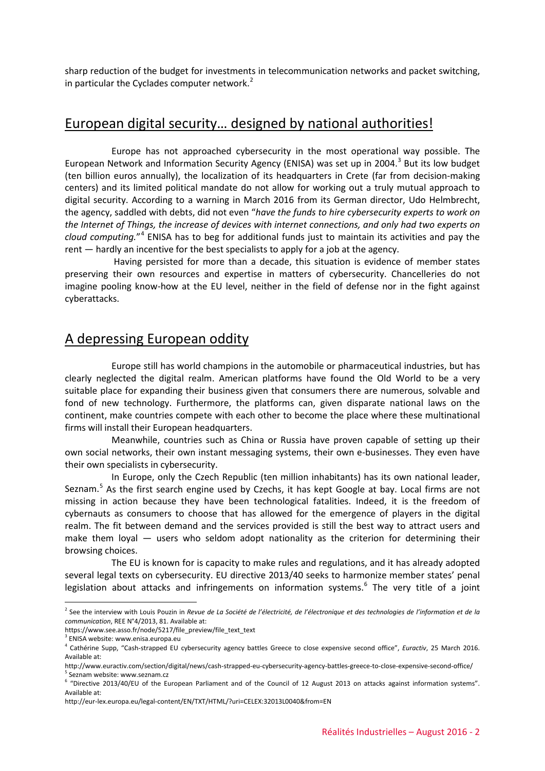sharp reduction of the budget for investments in telecommunication networks and packet switching, in particular the Cyclades computer network. $<sup>2</sup>$  $<sup>2</sup>$  $<sup>2</sup>$ </sup>

# European digital security… designed by national authorities!

Europe has not approached cybersecurity in the most operational way possible. The European Network and Information Security Agency (ENISA) was set up in 2004.<sup>[3](#page-1-1)</sup> But its low budget (ten billion euros annually), the localization of its headquarters in Crete (far from decision-making centers) and its limited political mandate do not allow for working out a truly mutual approach to digital security. According to a warning in March 2016 from its German director, Udo Helmbrecht, the agency, saddled with debts, did not even "*have the funds to hire cybersecurity experts to work on the Internet of Things, the increase of devices with internet connections, and only had two experts on cloud computing.*"[4](#page-1-2) ENISA has to beg for additional funds just to maintain its activities and pay the rent — hardly an incentive for the best specialists to apply for a job at the agency.

Having persisted for more than a decade, this situation is evidence of member states preserving their own resources and expertise in matters of cybersecurity. Chancelleries do not imagine pooling know-how at the EU level, neither in the field of defense nor in the fight against cyberattacks.

## A depressing European oddity

Europe still has world champions in the automobile or pharmaceutical industries, but has clearly neglected the digital realm. American platforms have found the Old World to be a very suitable place for expanding their business given that consumers there are numerous, solvable and fond of new technology. Furthermore, the platforms can, given disparate national laws on the continent, make countries compete with each other to become the place where these multinational firms will install their European headquarters.

Meanwhile, countries such as China or Russia have proven capable of setting up their own social networks, their own instant messaging systems, their own e-businesses. They even have their own specialists in cybersecurity.

In Europe, only the Czech Republic (ten million inhabitants) has its own national leader, Seznam.<sup>[5](#page-1-3)</sup> As the first search engine used by Czechs, it has kept Google at bay. Local firms are not missing in action because they have been technological fatalities. Indeed, it is the freedom of cybernauts as consumers to choose that has allowed for the emergence of players in the digital realm. The fit between demand and the services provided is still the best way to attract users and make them loyal  $-$  users who seldom adopt nationality as the criterion for determining their browsing choices.

The EU is known for is capacity to make rules and regulations, and it has already adopted several legal texts on cybersecurity. EU directive 2013/40 seeks to harmonize member states' penal legislation about attacks and infringements on information systems. $6$  The very title of a joint

<u>.</u>

<span id="page-1-0"></span><sup>2</sup> See the interview with Louis Pouzin in *Revue de La Société de l'électricité, de l'électronique et des technologies de l'information et de la communication*, REE N°4/2013, 81. Available at:

https://www.see.asso.fr/node/5217/file\_preview/file\_text\_text

<span id="page-1-1"></span> $3$  ENISA website: www.enisa.europa.eu

<span id="page-1-2"></span><sup>4</sup> Cathérine Supp, "Cash-strapped EU cybersecurity agency battles Greece to close expensive second office", *Euractiv*, 25 March 2016. Available at:

http://www.euractiv.com/section/digital/news/cash-strapped-eu-cybersecurity-agency-battles-greece-to-close-expensive-second-office/  $^{\circ}$  Seznam website: www.seznam.cz

<span id="page-1-4"></span><span id="page-1-3"></span><sup>6</sup> "Directive 2013/40/EU of the European Parliament and of the Council of 12 August 2013 on attacks against information systems". Available at:

http://eur-lex.europa.eu/legal-content/EN/TXT/HTML/?uri=CELEX:32013L0040&from=EN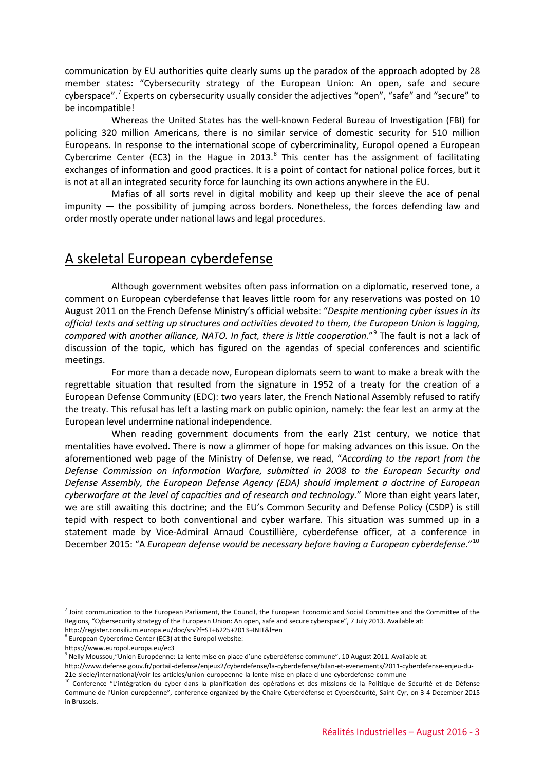communication by EU authorities quite clearly sums up the paradox of the approach adopted by 28 member states: "Cybersecurity strategy of the European Union: An open, safe and secure cyberspace".[7](#page-2-0) Experts on cybersecurity usually consider the adjectives "open", "safe" and "secure" to be incompatible!

Whereas the United States has the well-known Federal Bureau of Investigation (FBI) for policing 320 million Americans, there is no similar service of domestic security for 510 million Europeans. In response to the international scope of cybercriminality, Europol opened a European Cybercrime Center (EC3) in the Hague in 2013.<sup>[8](#page-2-1)</sup> This center has the assignment of facilitating exchanges of information and good practices. It is a point of contact for national police forces, but it is not at all an integrated security force for launching its own actions anywhere in the EU.

Mafias of all sorts revel in digital mobility and keep up their sleeve the ace of penal impunity — the possibility of jumping across borders. Nonetheless, the forces defending law and order mostly operate under national laws and legal procedures.

## A skeletal European cyberdefense

Although government websites often pass information on a diplomatic, reserved tone, a comment on European cyberdefense that leaves little room for any reservations was posted on 10 August 2011 on the French Defense Ministry's official website: "*Despite mentioning cyber issues in its official texts and setting up structures and activities devoted to them, the European Union is lagging, compared with another alliance, NATO. In fact, there is little cooperation.*"[9](#page-2-2) The fault is not a lack of discussion of the topic, which has figured on the agendas of special conferences and scientific meetings.

For more than a decade now, European diplomats seem to want to make a break with the regrettable situation that resulted from the signature in 1952 of a treaty for the creation of a European Defense Community (EDC): two years later, the French National Assembly refused to ratify the treaty. This refusal has left a lasting mark on public opinion, namely: the fear lest an army at the European level undermine national independence.

When reading government documents from the early 21st century, we notice that mentalities have evolved. There is now a glimmer of hope for making advances on this issue. On the aforementioned web page of the Ministry of Defense, we read, "*According to the report from the Defense Commission on Information Warfare, submitted in 2008 to the European Security and Defense Assembly, the European Defense Agency (EDA) should implement a doctrine of European cyberwarfare at the level of capacities and of research and technology.*" More than eight years later, we are still awaiting this doctrine; and the EU's Common Security and Defense Policy (CSDP) is still tepid with respect to both conventional and cyber warfare. This situation was summed up in a statement made by Vice-Admiral Arnaud Coustillière, cyberdefense officer, at a conference in December 2015: "A *European defense would be necessary before having a European cyberdefense.*"[10](#page-2-3)

<u>.</u>

<span id="page-2-0"></span> $<sup>7</sup>$  Joint communication to the European Parliament, the Council, the European Economic and Social Committee and the Committee of the</sup> Regions, "Cybersecurity strategy of the European Union: An open, safe and secure cyberspace", 7 July 2013. Available at: http://register.consilium.europa.eu/doc/srv?f=ST+6225+2013+INIT&l=en

<span id="page-2-1"></span> $8$  European Cybercrime Center (EC3) at the Europol website:

https://www.europol.europa.eu/ec3

<sup>&</sup>lt;sup>9</sup> Nelly Moussou, "Union Européenne: La lente mise en place d'une cyberdéfense commune", 10 August 2011. Available at:

<span id="page-2-2"></span>http://www.defense.gouv.fr/portail-defense/enjeux2/cyberdefense/la-cyberdefense/bilan-et-evenements/2011-cyberdefense-enjeu-du-21e-siecle/international/voir-les-articles/union-europeenne-la-lente-mise-en-place-d-une-cyberdefense-commune

<span id="page-2-3"></span><sup>10</sup> Conference "L'intégration du cyber dans la planification des opérations et des missions de la Politique de Sécurité et de Défense Commune de l'Union européenne", conference organized by the Chaire Cyberdéfense et Cybersécurité, Saint-Cyr, on 3-4 December 2015 in Brussels.